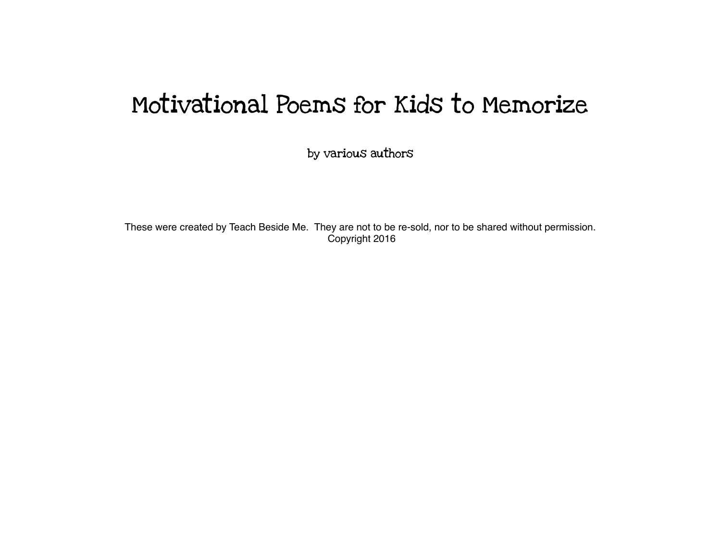# Motivational Poems for Kids to Memorize

by various authors

These were created by Teach Beside Me. They are not to be re-sold, nor to be shared without permission. Copyright 2016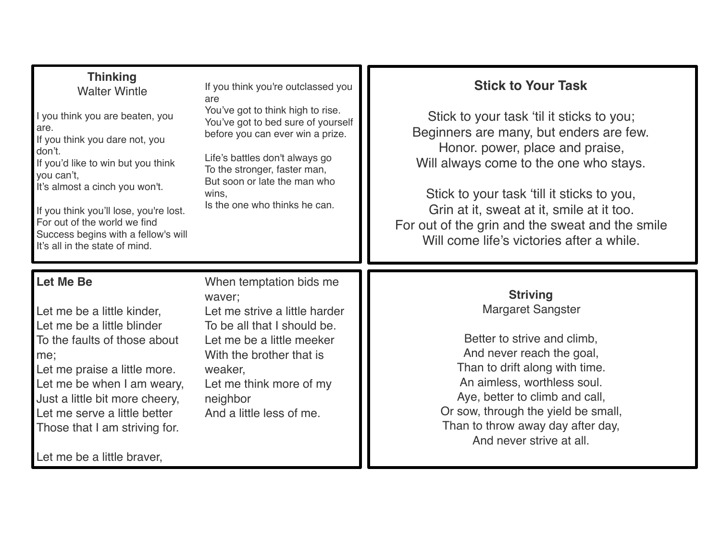#### **Thinking** Walter Wintle

I you think you are beaten, you are. If you think you dare not, you don't. If you'd like to win but you think you can't, It's almost a cinch you won't.

If you think you'll lose, you're lost. For out of the world we find Success begins with a fellow's will It's all in the state of mind.

If you think you're outclassed you are

You've got to think high to rise. You've got to bed sure of yourself before you can ever win a prize.

Life's battles don't always go To the stronger, faster man, But soon or late the man who wins, Is the one who thinks he can.

## **Stick to Your Task**

Stick to your task 'til it sticks to you; Beginners are many, but enders are few. Honor. power, place and praise, Will always come to the one who stays.

Stick to your task 'till it sticks to you, Grin at it, sweat at it, smile at it too. For out of the grin and the sweat and the smile Will come life's victories after a while.

## **Let Me Be**

Let me be a little kinder, Let me be a little blinder To the faults of those about me;

Let me praise a little more. Let me be when I am weary, Just a little bit more cheery, Let me serve a little better Those that I am striving for.

Let me be a little braver,

When temptation bids me waver; Let me strive a little harder To be all that I should be. Let me be a little meeker With the brother that is weaker, Let me think more of my neighbor And a little less of me.

### **Striving** Margaret Sangster

Better to strive and climb, And never reach the goal, Than to drift along with time. An aimless, worthless soul. Aye, better to climb and call, Or sow, through the yield be small, Than to throw away day after day, And never strive at all.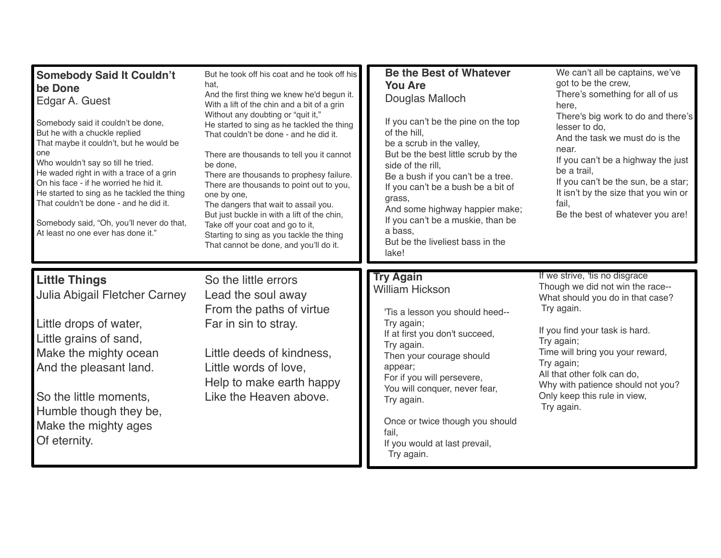| <b>Somebody Said It Couldn't</b><br>be Done<br>Edgar A. Guest<br>Somebody said it couldn't be done,<br>But he with a chuckle replied<br>That maybe it couldn't, but he would be<br>one<br>Who wouldn't say so till he tried.<br>He waded right in with a trace of a grin<br>On his face - if he worried he hid it.<br>He started to sing as he tackled the thing<br>That couldn't be done - and he did it.<br>Somebody said, "Oh, you'll never do that,<br>At least no one ever has done it." | But he took off his coat and he took off his<br>hat,<br>And the first thing we knew he'd begun it.<br>With a lift of the chin and a bit of a grin<br>Without any doubting or "quit it,"<br>He started to sing as he tackled the thing<br>That couldn't be done - and he did it.<br>There are thousands to tell you it cannot<br>be done,<br>There are thousands to prophesy failure.<br>There are thousands to point out to you,<br>one by one,<br>The dangers that wait to assail you.<br>But just buckle in with a lift of the chin,<br>Take off your coat and go to it,<br>Starting to sing as you tackle the thing<br>That cannot be done, and you'll do it. | <b>Be the Best of Whatever</b><br><b>You Are</b><br>Douglas Malloch<br>If you can't be the pine on the top<br>of the hill.<br>be a scrub in the valley,<br>But be the best little scrub by the<br>side of the rill,<br>Be a bush if you can't be a tree.<br>If you can't be a bush be a bit of<br>grass.<br>And some highway happier make;<br>If you can't be a muskie, than be<br>a bass.<br>But be the liveliest bass in the<br>lake! | We can't all be captains, we've<br>got to be the crew,<br>There's something for all of us<br>here,<br>There's big work to do and there's<br>lesser to do,<br>And the task we must do is the<br>near.<br>If you can't be a highway the just<br>be a trail.<br>If you can't be the sun, be a star;<br>It isn't by the size that you win or<br>fail,<br>Be the best of whatever you are! |
|-----------------------------------------------------------------------------------------------------------------------------------------------------------------------------------------------------------------------------------------------------------------------------------------------------------------------------------------------------------------------------------------------------------------------------------------------------------------------------------------------|------------------------------------------------------------------------------------------------------------------------------------------------------------------------------------------------------------------------------------------------------------------------------------------------------------------------------------------------------------------------------------------------------------------------------------------------------------------------------------------------------------------------------------------------------------------------------------------------------------------------------------------------------------------|-----------------------------------------------------------------------------------------------------------------------------------------------------------------------------------------------------------------------------------------------------------------------------------------------------------------------------------------------------------------------------------------------------------------------------------------|---------------------------------------------------------------------------------------------------------------------------------------------------------------------------------------------------------------------------------------------------------------------------------------------------------------------------------------------------------------------------------------|
| <b>Little Things</b><br>Julia Abigail Fletcher Carney<br>Little drops of water,<br>Little grains of sand,<br>Make the mighty ocean<br>And the pleasant land.<br>So the little moments,<br>Humble though they be,<br>Make the mighty ages<br>Of eternity.                                                                                                                                                                                                                                      | So the little errors<br>Lead the soul away<br>From the paths of virtue<br>Far in sin to stray.<br>Little deeds of kindness,<br>Little words of love,<br>Help to make earth happy<br>Like the Heaven above.                                                                                                                                                                                                                                                                                                                                                                                                                                                       | <b>Try Again</b><br><b>William Hickson</b><br>'Tis a lesson you should heed--<br>Try again;<br>If at first you don't succeed,<br>Try again.<br>Then your courage should<br>appear;<br>For if you will persevere,<br>You will conquer, never fear,<br>Try again.<br>Once or twice though you should<br>fail.<br>If you would at last prevail,<br>Try again.                                                                              | If we strive, 'tis no disgrace<br>Though we did not win the race--<br>What should you do in that case?<br>Try again.<br>If you find your task is hard.<br>Try again;<br>Time will bring you your reward,<br>Try again;<br>All that other folk can do,<br>Why with patience should not you?<br>Only keep this rule in view,<br>Try again.                                              |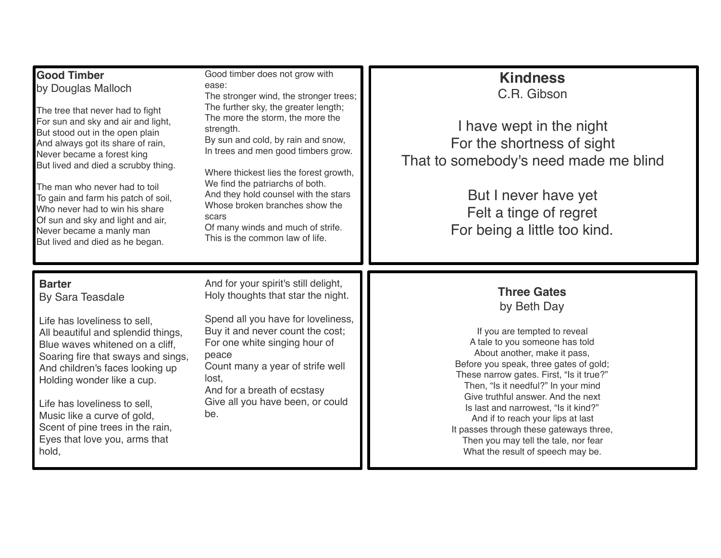| <b>Good Timber</b><br>by Douglas Malloch<br>The tree that never had to fight<br>For sun and sky and air and light,<br>But stood out in the open plain<br>And always got its share of rain,<br>Never became a forest king<br>But lived and died a scrubby thing.<br>The man who never had to toil<br>To gain and farm his patch of soil,<br>Who never had to win his share<br>Of sun and sky and light and air,<br>Never became a manly man<br>But lived and died as he began. | Good timber does not grow with<br>ease:<br>The stronger wind, the stronger trees;<br>The further sky, the greater length;<br>The more the storm, the more the<br>strength.<br>By sun and cold, by rain and snow,<br>In trees and men good timbers grow.<br>Where thickest lies the forest growth,<br>We find the patriarchs of both.<br>And they hold counsel with the stars<br>Whose broken branches show the<br>scars<br>Of many winds and much of strife.<br>This is the common law of life. | <b>Kindness</b><br>C.R. Gibson<br>I have wept in the night<br>For the shortness of sight<br>That to somebody's need made me blind<br>But I never have yet<br>Felt a tinge of regret<br>For being a little too kind.                                                                                                                                                                                                                                                                                         |
|-------------------------------------------------------------------------------------------------------------------------------------------------------------------------------------------------------------------------------------------------------------------------------------------------------------------------------------------------------------------------------------------------------------------------------------------------------------------------------|-------------------------------------------------------------------------------------------------------------------------------------------------------------------------------------------------------------------------------------------------------------------------------------------------------------------------------------------------------------------------------------------------------------------------------------------------------------------------------------------------|-------------------------------------------------------------------------------------------------------------------------------------------------------------------------------------------------------------------------------------------------------------------------------------------------------------------------------------------------------------------------------------------------------------------------------------------------------------------------------------------------------------|
| <b>Barter</b><br><b>By Sara Teasdale</b><br>Life has loveliness to sell,<br>All beautiful and splendid things,<br>Blue waves whitened on a cliff,<br>Soaring fire that sways and sings,<br>And children's faces looking up<br>Holding wonder like a cup.<br>Life has loveliness to sell,<br>Music like a curve of gold,<br>Scent of pine trees in the rain,<br>Eyes that love you, arms that<br>hold,                                                                         | And for your spirit's still delight,<br>Holy thoughts that star the night.<br>Spend all you have for loveliness,<br>Buy it and never count the cost;<br>For one white singing hour of<br>peace<br>Count many a year of strife well<br>lost,<br>And for a breath of ecstasy<br>Give all you have been, or could<br>be.                                                                                                                                                                           | <b>Three Gates</b><br>by Beth Day<br>If you are tempted to reveal<br>A tale to you someone has told<br>About another, make it pass,<br>Before you speak, three gates of gold;<br>These narrow gates. First, "Is it true?"<br>Then, "Is it needful?" In your mind<br>Give truthful answer. And the next<br>Is last and narrowest, "Is it kind?"<br>And if to reach your lips at last<br>It passes through these gateways three,<br>Then you may tell the tale, nor fear<br>What the result of speech may be. |